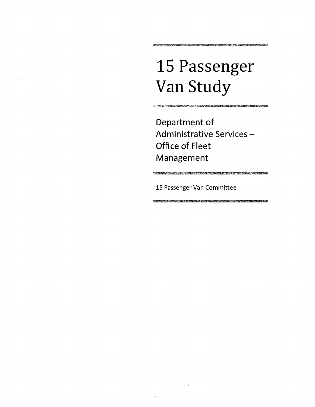# 15 Passenger Van Study

<u> Marshall ann an San Ann an Aonaich ann an Chomain ann an Aonaich ann an Aonaich ann an Aonaich ann an Aonaich ann an Aonaich ann an Aonaich ann an Aonaich ann an Aonaich ann an Aonaich ann an Aonaich ann an Aonaich ann a</u>

ROBINS OSTA I ITALIANO ORIGINALE DE PRATICIO DE L'INTERNATIONALE DE L'INTERNATION

Oepartment of Administrative Services-Office of Fleet Management

<u> Martin Andrews Martin Martin (1989), andrews Martin Martin Martin (1988), andrews Martin (1989), andrews Mar</u>

<u> 1999 - Johann Stein, martin film ar y ffer yn de ferfanging yn y de ferfanging yn y de ferfanging yn y de fer</u>

15 Passenger Van Committee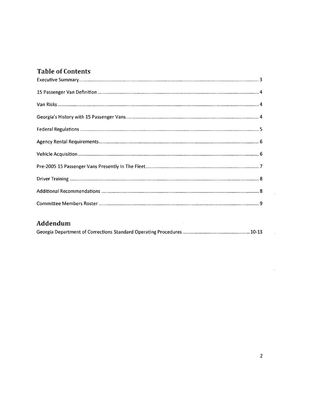# **Table of Contents**

 $\frac{1}{2}$ 

## Addendum

| Addendum |  |
|----------|--|
|          |  |

 $\mathcal{L}^{\text{max}}_{\text{max}}$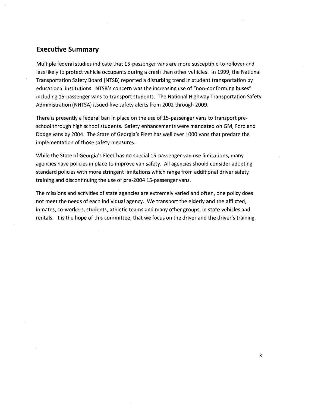#### **Executive Summary**

Multiple federal studies indicate that 1S-passenger vans are more susceptible to rollover and less likely to protect vehicle occupants during a crash than other vehicles. In 1999, the National Transportation Safety Board (NTSB) reported a disturbing trend in student transportation by educational institutions. NTSB's concern was the increasing use of "non-conforming buses" including 1S-passenger vans to transport students. The National Highway Transportation Safety Administration {NHTSA} issued five safety alerts from 2002 through 2009.

There is presently a federal ban in place on the use of 1S-passenger vans to transport preschool through high school students. Safety enhancements were mandated on GM, Ford and Dodge vans by 2004. The State of Georgia's Fleet has well over 1000 vans that predate the implementation of those safety measures.

While the State of Georgia's Fleet has no special 15-passenger van use limitations, many agencies have policies in place to improve van safety. All agencies should consider adopting standard policies with more stringent limitations which range from additional driver safety training and discontinuing the use of pre-2004 1S-passenger vans.

The missions and activities of state agencies are extremely varied and often, one policy does not meet the needs of each individual agency. We transport the elderly and the afflicted, inmates, co-workers, students, athletic teams and many other groups, in state vehicles and rentals. It is the hope of this committee, that we focus on the driver and the driver's training.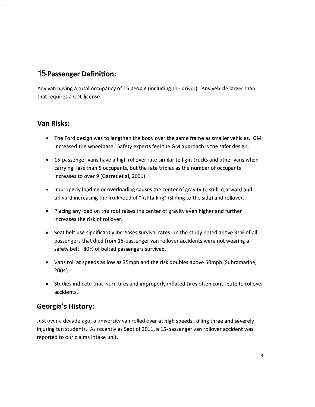# **15-Passenger Definition:**

Any van having a total occupancy of 15 people (including the driver). Any vehicle larger than that requires a CDL license.

## **Van Risks:**

- The Ford design was to lengthen the body over the same frame as smaller vehicles. GM increased the wheelbase. Safety experts feel the GM approach is the safer design.
- 15-passenger vans have a high rollover rate similar to light trucks and other vans when carrying less than 5 occupants, but the rate triples as the number of occupants increases to over 9 (Garret et ai, 2001).
- Improperly loading or overloading causes the center of gravity to shift rearward and upward increasing the likelihood of "fishtailing" (sliding to the side) and rollover.
- Placing any load on the roof raises the center of gravity even higher and further increases the risk of rollover.
- Seat belt use significantly increases survival rates. In the study noted above 91% of all passengers that died from 15-passenger van rollover accidents were not wearing a safety belt. 80% of belted passengers survived.
- Vans roll at speeds as low as 35mph and the risk doubles above 50mph (Subramarine, 2004).
- Studies indicate that worn tires and improperly inflated tires often contribute to rollover accidents.

## **Georgia's History:**

Just over a decade ago, a university van rolled over at high speeds, killing three and severely injuring ten students. As recently as Sept of 2011, a 15-passenger van rollover accident was reported to our claims intake unit.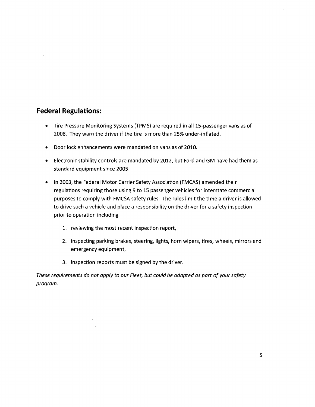## **Federal Regulations:**

- Tire Pressure Monitoring Systems (TPMS) are required in all 15-passenger vans as of 2008. They warn the driver if the tire is more than 25% under-inflated.
- Door lock enhancements were mandated on vans as of 2010.
- Electronic stability controls are mandated by 2012, but Ford and GM have had them as standard equipment since 2005.
- In 2003, the Federal Motor Carrier Safety Association (FMCAS) amended their regulations requiring those using 9 to 15 passenger vehicles for interstate commercial purposes to comply with FMCSA safety rules. The rules limit the time a driver is allowed to drive such a vehicle and place a responsibility on the driver for a safety inspection prior to operation including
	- 1. reviewing the most recent inspection report,
	- 2. inspecting parking brakes, steering, lights, horn wipers, tires, wheels, mirrors and emergency equipment,
	- 3. inspection reports must be signed by the driver.

These requirements do not apply to our Fleet, but could be adopted as part of your safety program.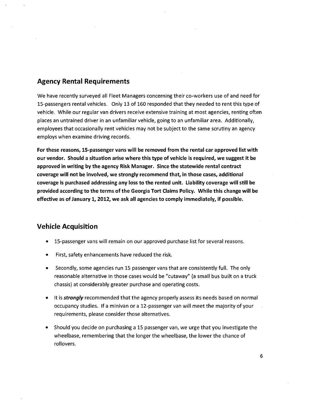## Agency Rental Requirements

We have recently surveyed all Fleet Managers concerning their co-workers use of and need for 15-passengers rental vehicles. Only 13 of 160 responded that they needed to rent this type of vehicle. While our regular van drivers receive extensive training at most agencies, renting often places an untrained driver in an unfamiliar vehicle, going to an unfamiliar area. Additionally, employees that occasionally rent vehicles may not be subject to the same scrutiny an agency employs when examine driving records.

For these reasons, IS-passenger vans will be removed from the rental car approved list with our vendor. Should a situation arise where this type of vehicle is required, we suggest it be approved in writing by the agency Risk Manager. Since the statewide rental contract coverage will not be involved, we strongly recommend that, in those cases, additional coverage is purchased addressing any loss to the rented unit. Liability coverage will still be provided according to the terms.of the Georgia Tort Claims Policy. While this change will be effective as of January 1, 2012, we ask all agencies to comply immediately, if possible.

#### Vehicle Acquisition

- 15-passenger vans will remain on our approved purchase list for several reasons.
- First, safety enhancements have reduced the risk.
- Secondly, some agencies run 15 passenger vans that are consistently full. The only reasonable alternative in those cases would be "cutaway" (a small bus built on a truck chassis) at considerably greater purchase and operating costs.
- It is *strongly* recommended that the agency properly assess its needs based on normal occupancy studies. If a minivan or a 12-passenger van will meet the majority of your requirements, please consider those alternatives.
- Should you decide on purchasing a 15 passenger van, we urge that you investigate the wheelbase, remembering that the longer the wheelbase, the lower the chance of rollovers.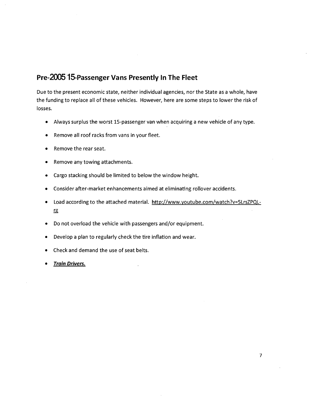# **Pre-200515-Passenger Vans Presently In The Fleet**

Due to the present economic state, neither individual agencies, nor the State as a whole, have the funding to replace all of these vehicles. However, here are some steps to lower the risk of losses.

- Always surplus the worst 15-passenger van when acquiring a new vehicle of any type.
- Remove all roof racks from vans in your fleet.
- Remove the rear seat.
- Remove any towing attachments.
- Cargo stacking should be limited to below the window height.
- Consider after-market enhancements aimed at eliminating rollover accidents.
- Load according to the attached material. http://www.youtube.com/watch?v=5LrsZPQLill
- Do not overload the vehicle with passengers and/or equipment.
- Develop a plan to regularly check the tire inflation and wear.
- Check and demand the use of seat belts.
- **Frain Drivers.**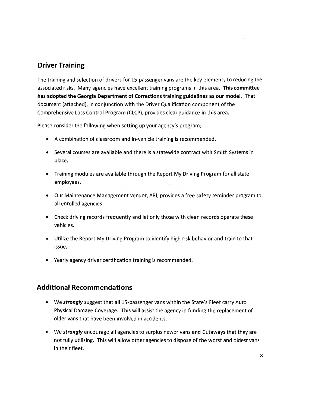## **Driver Training**

The training and selection of drivers for 15-passenger vans are the key elements to reducing the associated risks. Many agencies have excellent training programs in this area. This committee has adopted the Georgia Department of Corrections training guidelines as our model. That document (attached), in conjunction with the Driver Qualification component of the Comprehensive loss Control Program (ClCP), provides clear guidance in this area.

Please consider the following when setting up your agency's program;

- A combination of classroom and in-vehicle training is recommended.
- Several courses are available and there is a statewide contract with Smith Systems in place.
- Training modules are available through the Report My Driving Program for all state employees.
- Our Maintenance Management vendor, ARI, provides a free safety reminder program to all enrolled agencies.
- Check driving records frequently and let only those with clean records operate these vehicles.
- Utilize the Report My Driving Program to identify high risk behavior and train to that issue.
- Yearly agency driver certification training is recommended.

## **Additional Recommendations**

- We *strongly* suggest that all 15-passenger vans within the State's Fleet carry Auto Physical Damage Coverage. This will assist the agency in funding the replacement of older vans that have been involved in accidents.
- We *strongly* encourage all agencies to surplus newer vans and Cutaways that they are not fully utilizing. This will allow other agencies to dispose of the worst and oldest vans in their fleet.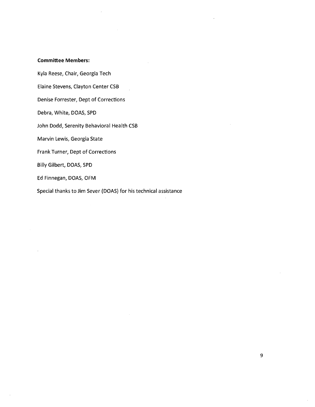#### **Committee Members:**

Kyla Reese, Chair, Georgia Tech

Elaine Stevens, Clayton Center CSB

Denise Forrester, Dept of Corrections

Debra, White, DOAS, SPD

John Dodd, Serenity Behavioral Health CSB

Marvin Lewis, Georgia State

Frank Turner, Dept of Corrections

Billy Gilbert, DOAS, SPD

Ed Finnegan, DOAS, OFM

Special thanks to Jim Sever (DOAS) for his technical assistance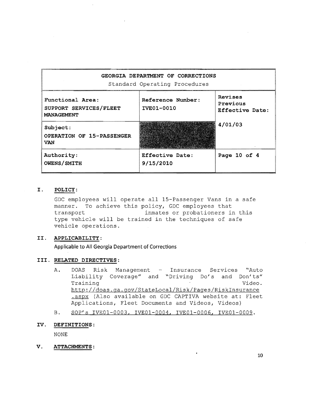| GEORGIA DEPARTMENT OF CORRECTIONS<br>Standard Operating Procedures |                                 |                                        |  |
|--------------------------------------------------------------------|---------------------------------|----------------------------------------|--|
| Functional Area:<br>SUPPORT SERVICES/FLEET<br><b>MANAGEMENT</b>    | Reference Number:<br>IVE01-0010 | Revises<br>Previous<br>Effective Date: |  |
| Subject:<br><b>OPERATION OF 15-PASSENGER</b><br><b>VAN</b>         | e të parë nga për               | 4/01/03                                |  |
| Authority:<br><b>OWENS/SMITH</b>                                   | Effective Date:<br>9/15/2010    | Page 10 of $4$                         |  |

#### **I. POLICY:**

GDC employees will operate all IS-Passenger Vans in a safe manner. To achieve this policy, GDC employees that<br>transport inmates or probationers in inmates or probationers in this type vehicle will be trained in the techniques of safe vehicle operations.

#### **II. APPLICABILITY:**

**Applicable to All Georgia Department of Corrections** 

#### **III. RELATED DIRECTIVES:**

- A. DOAS Risk Management Insurance Services "Auto Liability Coverage" and "Driving Do's and Don'ts" Training Video. http://doas.ga.gov/StateLocal/Risk/Pages/RiskInsurance .aspx (Also available on GDC CAPTIVA website at: Fleet Applications, Fleet Documents and Videos, Videos)
- B. SOP's IVE01-0003, IVE01-0004, IVE01-0006, IVE01-0009.
- **IV. DEFINITIONS:**

NONE

**V. ATTACHMENTS:**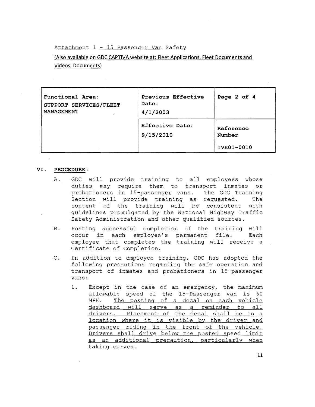Attachment  $1 - 15$  Passenger Van Safety

. (Also available on GDC CAPTIVA website at: Fleet Applications. Fleet Documents and Videos. Documents)

| Functional Area:<br>SUPPORT SERVICES/FLEET<br>MANAGEMENT | Previous Effective<br>Date:<br>4/1/2003 | Page 2 of 4                       |
|----------------------------------------------------------|-----------------------------------------|-----------------------------------|
|                                                          | <b>Effective Date:</b><br>9/15/2010     | Reference<br>Number<br>IVE01-0010 |

#### VI. PROCEDURE :

- A. GDC will provide training to all employees whose duties may require them to transport inmates or probationers in 15-passenger vans. The GDC Training Section will provide training as requested. The content of the training will be consistent with guidelines promulgated by the National Highway Traffic Safety Administration and other qualified sources.
- B. Posting successful completion of the training will occur in each employee's permanent file. Each employee that completes the training will receive a Certificate of Completion.
- C. In addition to employee training, GDC has adopted the following precautions regarding the safe operation and transport of inmates and probationers in 15-passenger vans:
	- 1. Except in the case of an emergency, the maximum allowable speed of the 15-Passenger van is 60 MPH. The posting of a decal on each vehicle dashboard will serve as a reminder to all<br>drivers. Placement of the decal shall be in a location where it is visible by the driver and passenger riding in the front of the vehicle. Drivers shall drive below the posted speed limit as an additional precaution, particularly when taking curves.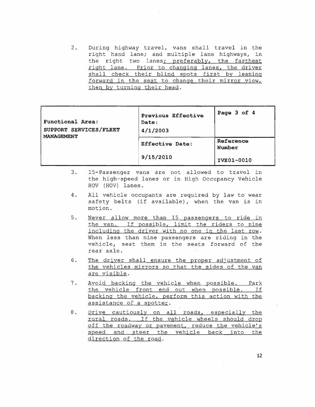2. During highway travel, vans shall travel in the<br>right hand lane; and multiple lane highways, in the right two lanes; preferably, the farthest right lane. Prior to changing lanes, the driver<br>shall check their blind spots first by leaning forward in the seat to change their mirror view, then by turning their head.

| <b>Functional Area:</b><br>SUPPORT SERVICES/FLEET<br>MANAGEMENT | Previous Effective<br>Date:<br>4/1/2003 | Page 3 of 4         |
|-----------------------------------------------------------------|-----------------------------------------|---------------------|
|                                                                 | <b>Effective Date:</b>                  | Reference<br>Number |
|                                                                 | 9/15/2010                               | IVE01-0010          |

- 3. I5-Passenger vans are not allowed to travel in the high-speed lanes or in High Occupancy Vehicle HOV (HOV) lanes.
- 4. All vehicle occupants are required by law to wear safety belts (if available), when the van is in motion.
- 5. Never allow more than 15 passengers to ride in the van. If possible, limit the riders to nine<br>including the driver with no one in the last row. When less than nine passengers are riding in the vehicle, seat them in the seats forward of the rear axle.
- 6. The driver shall ensure the proper adjustment of the vehicles mirrors so that the sides of the van are visible.
- 7. Avoid backing the vehicle when possible. Park<br>the vehicle front end out when possible. If backing the vehicle, perform this action with the assistance of a spotter.
- 8. Drive cautiously on all roads, especially the rural roads. If the vehicle wheels should drop off the roadway or pavement, reduce the vehicle's speed and steer the vehicle back into the direction of the road.

**12**